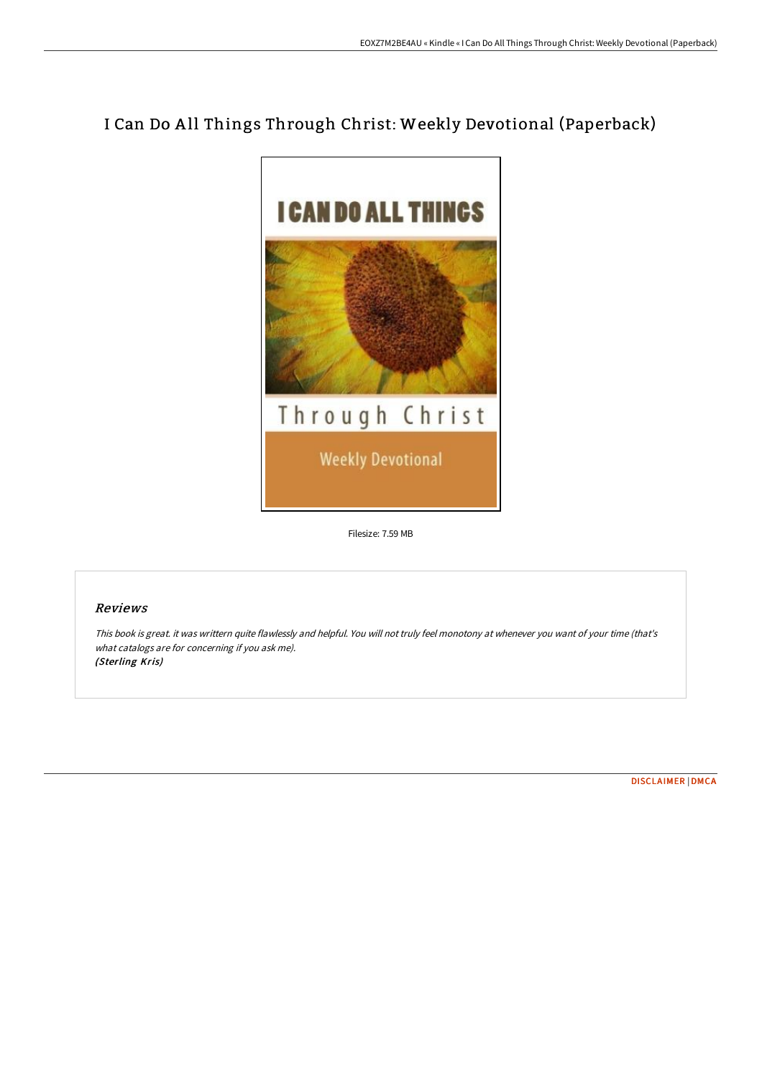# I Can Do A ll Things Through Christ: Weekly Devotional (Paperback)



Filesize: 7.59 MB

## Reviews

This book is great. it was writtern quite flawlessly and helpful. You will not truly feel monotony at whenever you want of your time (that's what catalogs are for concerning if you ask me). (Sterling Kris)

[DISCLAIMER](http://techno-pub.tech/disclaimer.html) | [DMCA](http://techno-pub.tech/dmca.html)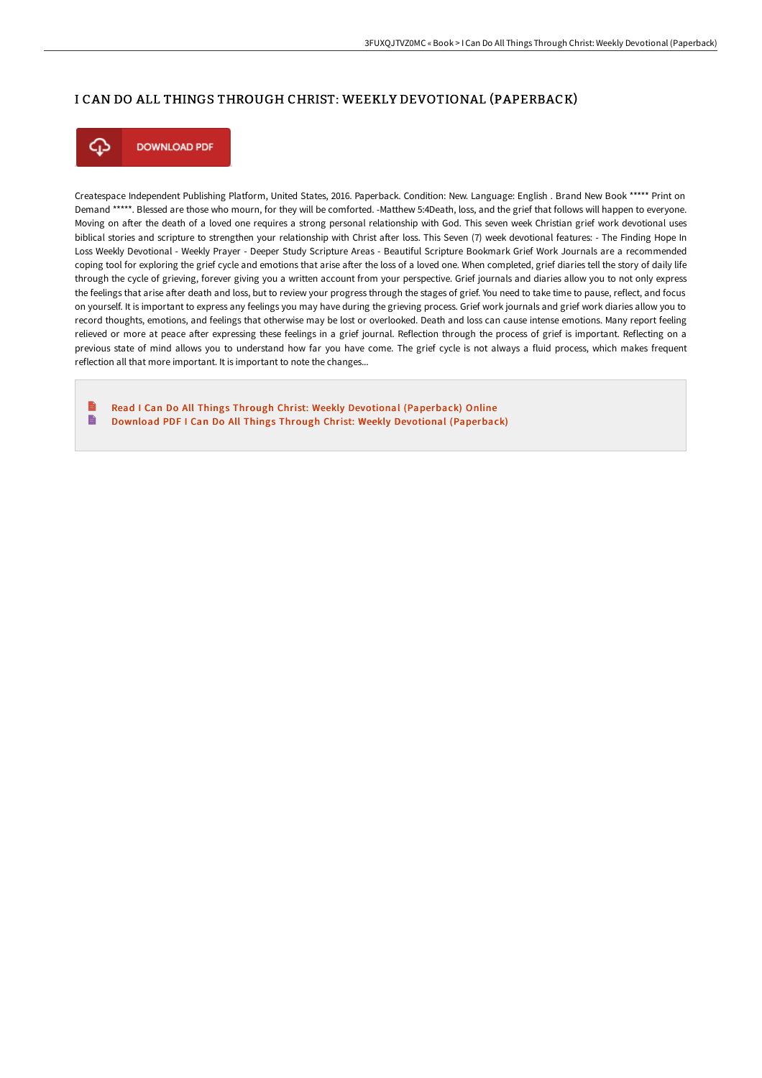### I CAN DO ALL THINGS THROUGH CHRIST: WEEKLY DEVOTIONAL (PAPERBACK)



**DOWNLOAD PDF** 

Createspace Independent Publishing Platform, United States, 2016. Paperback. Condition: New. Language: English . Brand New Book \*\*\*\*\* Print on Demand \*\*\*\*\*. Blessed are those who mourn, for they will be comforted. -Matthew 5:4Death, loss, and the grief that follows will happen to everyone. Moving on aFer the death of a loved one requires a strong personal relationship with God. This seven week Christian grief work devotional uses biblical stories and scripture to strengthen your relationship with Christ aFer loss. This Seven (7) week devotional features: - The Finding Hope In Loss Weekly Devotional - Weekly Prayer - Deeper Study Scripture Areas - Beautiful Scripture Bookmark Grief Work Journals are a recommended coping tool for exploring the grief cycle and emotions that arise after the loss of a loved one. When completed, grief diaries tell the story of daily life through the cycle of grieving, forever giving you a written account from your perspective. Grief journals and diaries allow you to not only express the feelings that arise aFer death and loss, but to review your progress through the stages of grief. You need to take time to pause, reflect, and focus on yourself. It is important to express any feelings you may have during the grieving process. Grief work journals and grief work diaries allow you to record thoughts, emotions, and feelings that otherwise may be lost or overlooked. Death and loss can cause intense emotions. Many report feeling relieved or more at peace aFer expressing these feelings in a grief journal. Reflection through the process of grief is important. Reflecting on a previous state of mind allows you to understand how far you have come. The grief cycle is not always a fluid process, which makes frequent reflection all that more important. It is important to note the changes...

Read I Can Do All Things Through Christ: Weekly Devotional [\(Paperback\)](http://techno-pub.tech/i-can-do-all-things-through-christ-weekly-devoti.html) Online B Download PDF I Can Do All Things Through Christ: Weekly Devotional [\(Paperback\)](http://techno-pub.tech/i-can-do-all-things-through-christ-weekly-devoti.html)